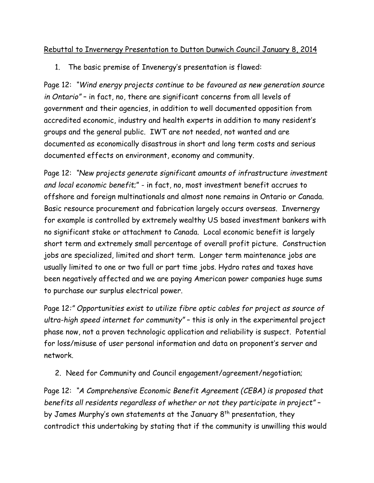## Rebuttal to Invernergy Presentation to Dutton Dunwich Council January 8, 2014

1. The basic premise of Invenergy's presentation is flawed:

Page 12: *"Wind energy projects continue to be favoured as new generation source in Ontario"* – in fact, no, there are significant concerns from all levels of government and their agencies, in addition to well documented opposition from accredited economic, industry and health experts in addition to many resident's groups and the general public. IWT are not needed, not wanted and are documented as economically disastrous in short and long term costs and serious documented effects on environment, economy and community.

Page 12: *"New projects generate significant amounts of infrastructure investment and local economic benefit*;" - in fact, no, most investment benefit accrues to offshore and foreign multinationals and almost none remains in Ontario or Canada. Basic resource procurement and fabrication largely occurs overseas. Invernergy for example is controlled by extremely wealthy US based investment bankers with no significant stake or attachment to Canada. Local economic benefit is largely short term and extremely small percentage of overall profit picture. Construction jobs are specialized, limited and short term. Longer term maintenance jobs are usually limited to one or two full or part time jobs. Hydro rates and taxes have been negatively affected and we are paying American power companies huge sums to purchase our surplus electrical power.

Page 12*:" Opportunities exist to utilize fibre optic cables for project as source of ultra-high speed internet for community"* – this is only in the experimental project phase now, not a proven technologic application and reliability is suspect. Potential for loss/misuse of user personal information and data on proponent's server and network.

2. Need for Community and Council engagement/agreement/negotiation;

Page 12: *"A Comprehensive Economic Benefit Agreement (CEBA) is proposed that benefits all residents regardless of whether or not they participate in project"* – by James Murphy's own statements at the January  $8<sup>th</sup>$  presentation, they contradict this undertaking by stating that if the community is unwilling this would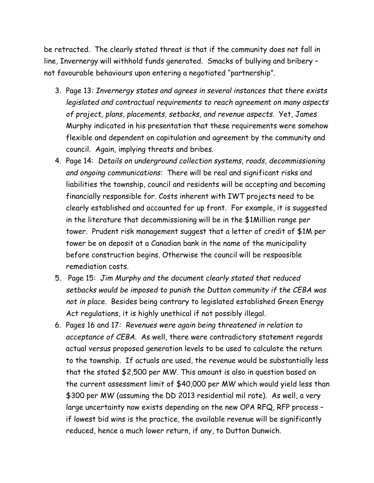be retracted. The clearly stated threat is that if the community does not fall in line, Invernergy will withhold funds generated. Smacks of bullying and bribery – not favourable behaviours upon entering a negotiated "partnership".

- 3. Page 13*: Invernergy states and agrees in several instances that there exists legislated and contractual requirements to reach agreement on many aspects of project, plans, placements, setbacks, and revenue aspects.* Yet, James Murphy indicated in his presentation that these requirements were somehow flexible and dependent on capitulation and agreement by the community and council. Again, implying threats and bribes.
- 4. Page 14: *Details on underground collection systems, roads, decommissioning and ongoing communications:* There will be real and significant risks and liabilities the township, council and residents will be accepting and becoming financially responsible for. Costs inherent with IWT projects need to be clearly established and accounted for up front. For example, it is suggested in the literature that decommissioning will be in the \$1Million range per tower. Prudent risk management suggest that a letter of credit of \$1M per tower be on deposit at a Canadian bank in the name of the municipality before construction begins. Otherwise the council will be respoosible remediation costs.
- 5. Page 15: *Jim Murphy and the document clearly stated that reduced setbacks would be imposed to punish the Dutton community if the CEBA was not in place.* Besides being contrary to legislated established Green Energy Act regulations, it is highly unethical if not possibly illegal.
- 6. Pages 16 and 17*: Revenues were again being threatened in relation to acceptance of CEBA.* As well, there were contradictory statement regards actual versus proposed generation levels to be used to calculate the return to the township. If actuals are used, the revenue would be substantially less that the stated \$2,500 per MW. This amount is also in question based on the current assessment limit of \$40,000 per MW which would yield less than \$300 per MW (assuming the DD 2013 residential mil rate). As well, a very large uncertainty now exists depending on the new OPA RFQ, RFP process – if lowest bid wins is the practice, the available revenue will be significantly reduced, hence a much lower return, if any, to Dutton Dunwich.